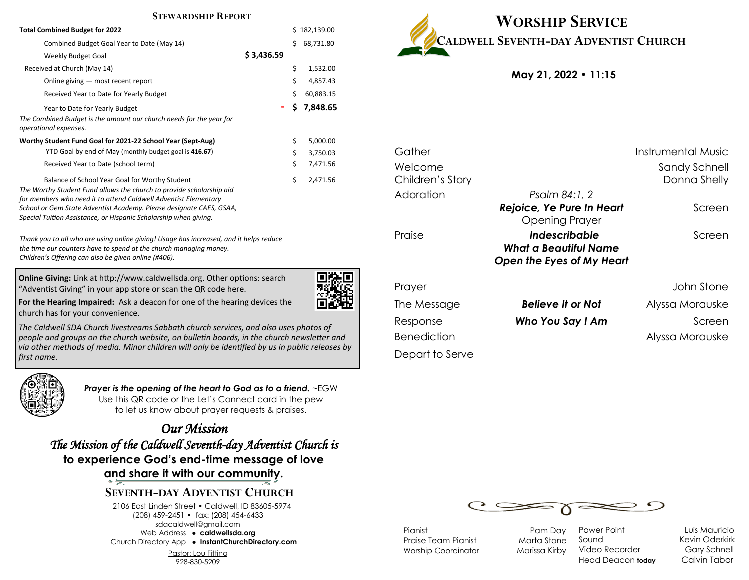#### **STEWARDSHIP REPORT**

| <b>Total Combined Budget for 2022</b>                                                                                                                                                                                                                                                                                                |            | Ś. | 182,139.00 |
|--------------------------------------------------------------------------------------------------------------------------------------------------------------------------------------------------------------------------------------------------------------------------------------------------------------------------------------|------------|----|------------|
| Combined Budget Goal Year to Date (May 14)                                                                                                                                                                                                                                                                                           |            | Ś  | 68,731.80  |
| Weekly Budget Goal                                                                                                                                                                                                                                                                                                                   | \$3,436.59 |    |            |
| Received at Church (May 14)                                                                                                                                                                                                                                                                                                          |            | \$ | 1,532.00   |
| Online giving — most recent report                                                                                                                                                                                                                                                                                                   |            | \$ | 4,857.43   |
| Received Year to Date for Yearly Budget                                                                                                                                                                                                                                                                                              |            | Ś  | 60,883.15  |
| Year to Date for Yearly Budget                                                                                                                                                                                                                                                                                                       |            | Ś. | 7,848.65   |
| The Combined Budget is the amount our church needs for the year for<br>operational expenses.                                                                                                                                                                                                                                         |            |    |            |
| Worthy Student Fund Goal for 2021-22 School Year (Sept-Aug)                                                                                                                                                                                                                                                                          |            | \$ | 5,000.00   |
| YTD Goal by end of May (monthly budget goal is 416.67)                                                                                                                                                                                                                                                                               |            | \$ | 3,750.03   |
| Received Year to Date (school term)                                                                                                                                                                                                                                                                                                  |            | \$ | 7,471.56   |
| Balance of School Year Goal for Worthy Student<br>The Worthy Student Fund allows the church to provide scholarship aid<br>for members who need it to attend Caldwell Adventist Elementary<br>School or Gem State Adventist Academy. Please designate CAES, GSAA,<br>Special Tuition Assistance, or Hispanic Scholarship when giving. |            | Ś  | 2,471.56   |

*Thank you to all who are using online giving! Usage has increased, and it helps reduce the time our counters have to spend at the church managing money. Children's Offering can also be given online (#406).*

**Online Giving:** Link at http://www.caldwellsda.org. Other options: search "Adventist Giving" in your app store or scan the QR code here.



**For the Hearing Impaired:** Ask a deacon for one of the hearing devices the church has for your convenience.

*The Caldwell SDA Church livestreams Sabbath church services, and also uses photos of people and groups on the church website, on bulletin boards, in the church newsletter and via other methods of media. Minor children will only be identified by us in public releases by first name.*



*Prayer is the opening of the heart to God as to a friend.* ~EGW Use this QR code or the Let's Connect card in the pew to let us know about prayer requests & praises.

*Our Mission The Mission of the Caldwell Seventh-day Adventist Church is*  **to experience God's end-time message of love and share it with our community.**

## **SEVENTH-DAY ADVENTIST CHURCH**

2106 East Linden Street • Caldwell, ID 83605-5974 (208) 459-2451 • fax: (208) 454-6433 sdacaldwell@gmail.com Web Address ● **caldwellsda.org**  Church Directory App ● **InstantChurchDirectory.com**

Pastor: Lou Fitting

928-830-5209



**May 21, 2022 • 11:15**

| Gather             |                           | Instrumental Music |
|--------------------|---------------------------|--------------------|
| Welcome            |                           | Sandy Schnell      |
| Children's Story   |                           | Donna Shelly       |
| Adoration          | Psalm 84:1, 2             |                    |
|                    | Rejoice, Ye Pure In Heart | Screen             |
|                    | <b>Opening Prayer</b>     |                    |
| Praise             | Indescribable             | Screen             |
|                    | What a Beautiful Name     |                    |
|                    | Open the Eyes of My Heart |                    |
| Prayer             |                           | John Stone         |
| The Message        | <b>Believe It or Not</b>  | Alyssa Morauske    |
| Response           | Who You Say I Am          | Screen             |
| <b>Benediction</b> |                           | Alyssa Morauske    |
| Depart to Serve    |                           |                    |



Pianist Pam Day Praise Team Pianist Marta Stone Worship Coordinator Marissa Kirby

Power Point Luis Mauricio Sound Kevin Oderkirk Video Recorder Gary Schnell Head Deacon **today** Calvin Tabor